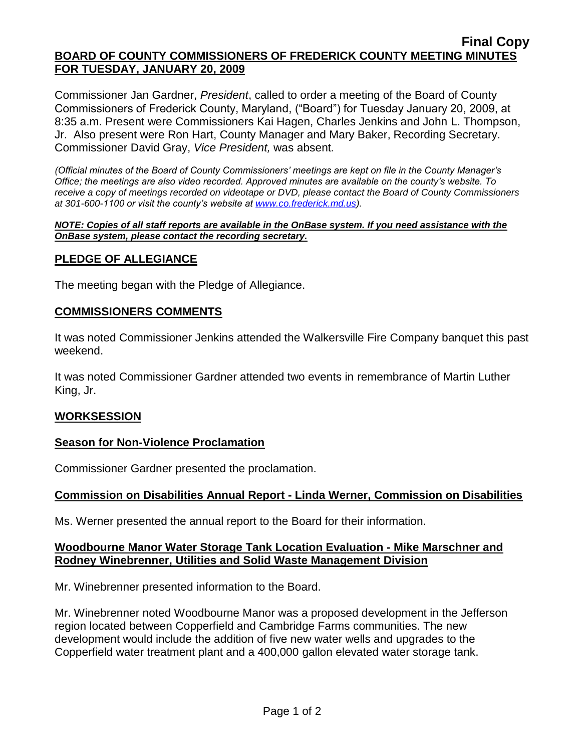#### **Final Copy BOARD OF COUNTY COMMISSIONERS OF FREDERICK COUNTY MEETING MINUTES FOR TUESDAY, JANUARY 20, 2009**

Commissioner Jan Gardner, *President*, called to order a meeting of the Board of County Commissioners of Frederick County, Maryland, ("Board") for Tuesday January 20, 2009, at 8:35 a.m. Present were Commissioners Kai Hagen, Charles Jenkins and John L. Thompson, Jr. Also present were Ron Hart, County Manager and Mary Baker, Recording Secretary. Commissioner David Gray, *Vice President,* was absent*.*

*(Official minutes of the Board of County Commissioners' meetings are kept on file in the County Manager's Office; the meetings are also video recorded. Approved minutes are available on the county's website. To receive a copy of meetings recorded on videotape or DVD, please contact the Board of County Commissioners at 301-600-1100 or visit the county's website at [www.co.frederick.md.us\)](http://www.co.frederick.md.us/).*

#### *NOTE: Copies of all staff reports are available in the OnBase system. If you need assistance with the OnBase system, please contact the recording secretary.*

# **PLEDGE OF ALLEGIANCE**

The meeting began with the Pledge of Allegiance.

#### **COMMISSIONERS COMMENTS**

It was noted Commissioner Jenkins attended the Walkersville Fire Company banquet this past weekend.

It was noted Commissioner Gardner attended two events in remembrance of Martin Luther King, Jr.

#### **WORKSESSION**

# **Season for Non-Violence Proclamation**

Commissioner Gardner presented the proclamation.

# **Commission on Disabilities Annual Report - Linda Werner, Commission on Disabilities**

Ms. Werner presented the annual report to the Board for their information.

# **Woodbourne Manor Water Storage Tank Location Evaluation - Mike Marschner and Rodney Winebrenner, Utilities and Solid Waste Management Division**

Mr. Winebrenner presented information to the Board.

Mr. Winebrenner noted Woodbourne Manor was a proposed development in the Jefferson region located between Copperfield and Cambridge Farms communities. The new development would include the addition of five new water wells and upgrades to the Copperfield water treatment plant and a 400,000 gallon elevated water storage tank.